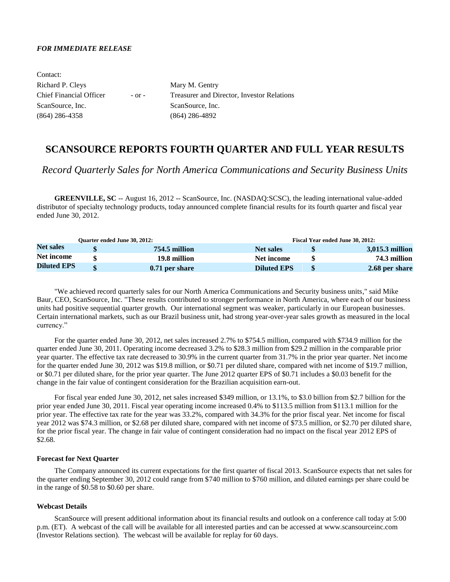## *FOR IMMEDIATE RELEASE*

| Mary M. Gentry                                    |
|---------------------------------------------------|
| <b>Treasurer and Director, Investor Relations</b> |
| ScanSource, Inc.                                  |
| $(864)$ 286-4892                                  |
|                                                   |

# **SCANSOURCE REPORTS FOURTH QUARTER AND FULL YEAR RESULTS**

*Record Quarterly Sales for North America Communications and Security Business Units*

**GREENVILLE, SC** -- August 16, 2012 -- ScanSource, Inc. (NASDAQ:SCSC), the leading international value-added distributor of specialty technology products, today announced complete financial results for its fourth quarter and fiscal year ended June 30, 2012.

| <b>Ouarter ended June 30, 2012:</b> |  |                |                    | Fiscal Year ended June 30, 2012: |                 |  |  |  |
|-------------------------------------|--|----------------|--------------------|----------------------------------|-----------------|--|--|--|
| <b>Net sales</b>                    |  | 754.5 million  | <b>Net sales</b>   |                                  | 3,015.3 million |  |  |  |
| Net income                          |  | 19.8 million   | Net income         |                                  | 74.3 million    |  |  |  |
| <b>Diluted EPS</b>                  |  | 0.71 per share | <b>Diluted EPS</b> |                                  | 2.68 per share  |  |  |  |

"We achieved record quarterly sales for our North America Communications and Security business units," said Mike Baur, CEO, ScanSource, Inc. "These results contributed to stronger performance in North America, where each of our business units had positive sequential quarter growth. Our international segment was weaker, particularly in our European businesses. Certain international markets, such as our Brazil business unit, had strong year-over-year sales growth as measured in the local currency."

For the quarter ended June 30, 2012, net sales increased 2.7% to \$754.5 million, compared with \$734.9 million for the quarter ended June 30, 2011. Operating income decreased 3.2% to \$28.3 million from \$29.2 million in the comparable prior year quarter. The effective tax rate decreased to 30.9% in the current quarter from 31.7% in the prior year quarter. Net income for the quarter ended June 30, 2012 was \$19.8 million, or \$0.71 per diluted share, compared with net income of \$19.7 million, or \$0.71 per diluted share, for the prior year quarter. The June 2012 quarter EPS of \$0.71 includes a \$0.03 benefit for the change in the fair value of contingent consideration for the Brazilian acquisition earn-out.

For fiscal year ended June 30, 2012, net sales increased \$349 million, or 13.1%, to \$3.0 billion from \$2.7 billion for the prior year ended June 30, 2011. Fiscal year operating income increased 0.4% to \$113.5 million from \$113.1 million for the prior year. The effective tax rate for the year was 33.2%, compared with 34.3% for the prior fiscal year. Net income for fiscal year 2012 was \$74.3 million, or \$2.68 per diluted share, compared with net income of \$73.5 million, or \$2.70 per diluted share, for the prior fiscal year. The change in fair value of contingent consideration had no impact on the fiscal year 2012 EPS of \$2.68.

### **Forecast for Next Quarter**

The Company announced its current expectations for the first quarter of fiscal 2013. ScanSource expects that net sales for the quarter ending September 30, 2012 could range from \$740 million to \$760 million, and diluted earnings per share could be in the range of \$0.58 to \$0.60 per share.

### **Webcast Details**

ScanSource will present additional information about its financial results and outlook on a conference call today at 5:00 p.m. (ET). A webcast of the call will be available for all interested parties and can be accessed at www.scansourceinc.com (Investor Relations section). The webcast will be available for replay for 60 days.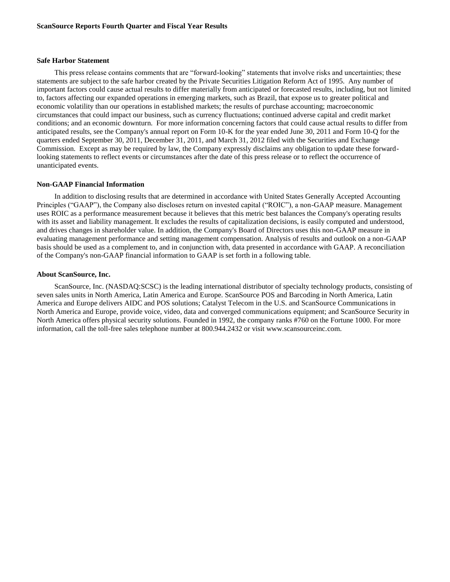### **Safe Harbor Statement**

This press release contains comments that are "forward-looking" statements that involve risks and uncertainties; these statements are subject to the safe harbor created by the Private Securities Litigation Reform Act of 1995. Any number of important factors could cause actual results to differ materially from anticipated or forecasted results, including, but not limited to, factors affecting our expanded operations in emerging markets, such as Brazil, that expose us to greater political and economic volatility than our operations in established markets; the results of purchase accounting; macroeconomic circumstances that could impact our business, such as currency fluctuations; continued adverse capital and credit market conditions; and an economic downturn. For more information concerning factors that could cause actual results to differ from anticipated results, see the Company's annual report on Form 10-K for the year ended June 30, 2011 and Form 10-Q for the quarters ended September 30, 2011, December 31, 2011, and March 31, 2012 filed with the Securities and Exchange Commission. Except as may be required by law, the Company expressly disclaims any obligation to update these forwardlooking statements to reflect events or circumstances after the date of this press release or to reflect the occurrence of unanticipated events.

## **Non-GAAP Financial Information**

In addition to disclosing results that are determined in accordance with United States Generally Accepted Accounting Principles ("GAAP"), the Company also discloses return on invested capital ("ROIC"), a non-GAAP measure. Management uses ROIC as a performance measurement because it believes that this metric best balances the Company's operating results with its asset and liability management. It excludes the results of capitalization decisions, is easily computed and understood, and drives changes in shareholder value. In addition, the Company's Board of Directors uses this non-GAAP measure in evaluating management performance and setting management compensation. Analysis of results and outlook on a non-GAAP basis should be used as a complement to, and in conjunction with, data presented in accordance with GAAP. A reconciliation of the Company's non-GAAP financial information to GAAP is set forth in a following table.

### **About ScanSource, Inc.**

ScanSource, Inc. (NASDAQ:SCSC) is the leading international distributor of specialty technology products, consisting of seven sales units in North America, Latin America and Europe. ScanSource POS and Barcoding in North America, Latin America and Europe delivers AIDC and POS solutions; Catalyst Telecom in the U.S. and ScanSource Communications in North America and Europe, provide voice, video, data and converged communications equipment; and ScanSource Security in North America offers physical security solutions. Founded in 1992, the company ranks #760 on the Fortune 1000. For more information, call the toll-free sales telephone number at 800.944.2432 or visit www.scansourceinc.com.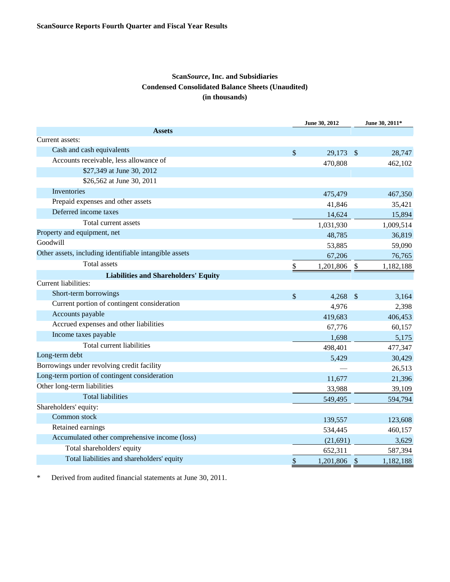# **Scan***Source***, Inc. and Subsidiaries Condensed Consolidated Balance Sheets (Unaudited) (in thousands)**

|                                                        | June 30, 2012   |                         | June 30, 2011* |
|--------------------------------------------------------|-----------------|-------------------------|----------------|
| <b>Assets</b>                                          |                 |                         |                |
| Current assets:                                        |                 |                         |                |
| Cash and cash equivalents                              | \$<br>29,173    | $\sqrt[6]{\frac{1}{2}}$ | 28,747         |
| Accounts receivable, less allowance of                 | 470,808         |                         | 462,102        |
| \$27,349 at June 30, 2012                              |                 |                         |                |
| \$26,562 at June 30, 2011                              |                 |                         |                |
| Inventories                                            | 475,479         |                         | 467,350        |
| Prepaid expenses and other assets                      | 41,846          |                         | 35,421         |
| Deferred income taxes                                  | 14,624          |                         | 15,894         |
| Total current assets                                   | 1,031,930       |                         | 1,009,514      |
| Property and equipment, net                            | 48,785          |                         | 36,819         |
| Goodwill                                               | 53,885          |                         | 59,090         |
| Other assets, including identifiable intangible assets | 67,206          |                         | 76,765         |
| <b>Total</b> assets                                    | \$<br>1,201,806 | \$                      | 1,182,188      |
| <b>Liabilities and Shareholders' Equity</b>            |                 |                         |                |
| Current liabilities:                                   |                 |                         |                |
| Short-term borrowings                                  | \$<br>4,268     | $\mathcal{S}$           | 3,164          |
| Current portion of contingent consideration            | 4,976           |                         | 2,398          |
| Accounts payable                                       | 419,683         |                         | 406,453        |
| Accrued expenses and other liabilities                 | 67,776          |                         | 60,157         |
| Income taxes payable                                   | 1,698           |                         | 5,175          |
| Total current liabilities                              | 498,401         |                         | 477,347        |
| Long-term debt                                         | 5,429           |                         | 30,429         |
| Borrowings under revolving credit facility             |                 |                         | 26,513         |
| Long-term portion of contingent consideration          | 11,677          |                         | 21,396         |
| Other long-term liabilities                            | 33,988          |                         | 39,109         |
| <b>Total liabilities</b>                               | 549,495         |                         | 594,794        |
| Shareholders' equity:                                  |                 |                         |                |
| Common stock                                           | 139,557         |                         | 123,608        |
| Retained earnings                                      | 534,445         |                         | 460,157        |
| Accumulated other comprehensive income (loss)          | (21,691)        |                         | 3,629          |
| Total shareholders' equity                             | 652,311         |                         | 587,394        |
| Total liabilities and shareholders' equity             | \$<br>1,201,806 | $\mathcal{S}$           | 1,182,188      |

\* Derived from audited financial statements at June 30, 2011.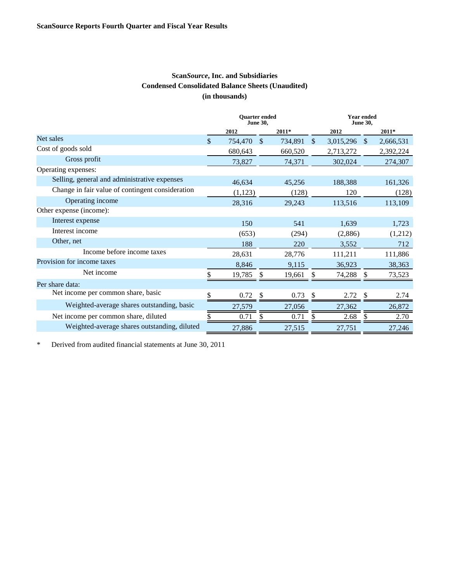# **Scan***Source***, Inc. and Subsidiaries Condensed Consolidated Balance Sheets (Unaudited) (in thousands)**

|                                                  | <b>Ouarter</b> ended<br><b>June 30,</b> |         |               |         | <b>Year ended</b><br><b>June 30,</b> |           |               |           |
|--------------------------------------------------|-----------------------------------------|---------|---------------|---------|--------------------------------------|-----------|---------------|-----------|
|                                                  |                                         | 2012    |               | $2011*$ |                                      | 2012      |               | $2011*$   |
| Net sales                                        | \$                                      | 754,470 | <sup>\$</sup> | 734,891 | $\mathbb{S}$                         | 3,015,296 | <sup>\$</sup> | 2,666,531 |
| Cost of goods sold                               |                                         | 680,643 |               | 660,520 |                                      | 2,713,272 |               | 2,392,224 |
| Gross profit                                     |                                         | 73,827  |               | 74,371  |                                      | 302,024   |               | 274,307   |
| Operating expenses:                              |                                         |         |               |         |                                      |           |               |           |
| Selling, general and administrative expenses     |                                         | 46,634  |               | 45,256  |                                      | 188,388   |               | 161,326   |
| Change in fair value of contingent consideration |                                         | (1,123) |               | (128)   |                                      | 120       |               | (128)     |
| Operating income                                 |                                         | 28,316  |               | 29,243  |                                      | 113,516   |               | 113,109   |
| Other expense (income):                          |                                         |         |               |         |                                      |           |               |           |
| Interest expense                                 |                                         | 150     |               | 541     |                                      | 1,639     |               | 1,723     |
| Interest income                                  |                                         | (653)   |               | (294)   |                                      | (2,886)   |               | (1,212)   |
| Other, net                                       |                                         | 188     |               | 220     |                                      | 3,552     |               | 712       |
| Income before income taxes                       |                                         | 28,631  |               | 28,776  |                                      | 111,211   |               | 111,886   |
| Provision for income taxes                       |                                         | 8,846   |               | 9,115   |                                      | 36,923    |               | 38,363    |
| Net income                                       |                                         | 19,785  |               | 19,661  |                                      | 74,288    |               | 73,523    |
| Per share data:                                  |                                         |         |               |         |                                      |           |               |           |
| Net income per common share, basic               | S                                       | 0.72    |               | 0.73    |                                      | 2.72      |               | 2.74      |
| Weighted-average shares outstanding, basic       |                                         | 27,579  |               | 27,056  |                                      | 27,362    |               | 26,872    |
| Net income per common share, diluted             |                                         | 0.71    | \$.           | 0.71    | S                                    | 2.68      | <b>S</b>      | 2.70      |
| Weighted-average shares outstanding, diluted     |                                         | 27,886  |               | 27,515  |                                      | 27,751    |               | 27,246    |

\* Derived from audited financial statements at June 30, 2011